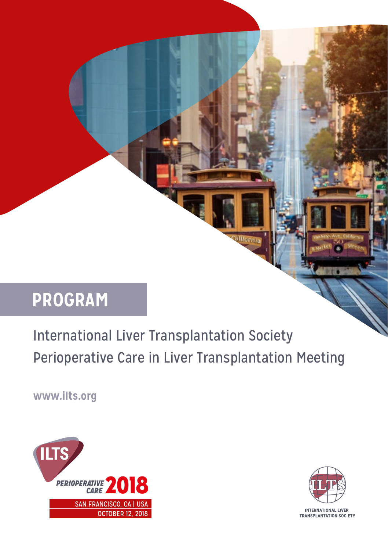# **PROGRAM**

International Liver Transplantation Society Perioperative Care in Liver Transplantation Meeting

**Hornie** 

**www.ilts.org**





rnis

**INTERNATIONAL LIVER TRANSPLANTATION SOCIETY**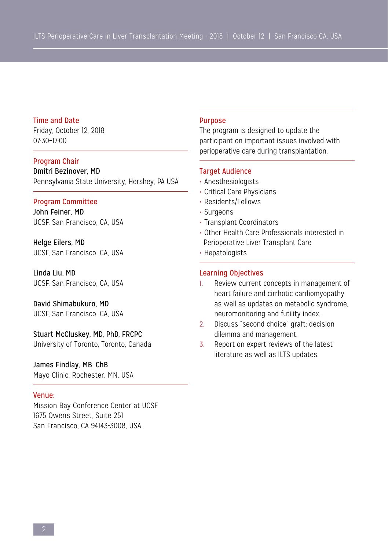## Time and Date

Friday, October 12, 2018 07:30–17:00

## Program Chair

Dmitri Bezinover, MD Pennsylvania State University, Hershey, PA USA

#### Program Committee

John Feiner, MD UCSF, San Francisco, CA, USA

Helge Eilers, MD UCSF, San Francisco, CA, USA

Linda Liu, MD UCSF, San Francisco, CA, USA

David Shimabukuro, MD UCSF, San Francisco, CA, USA

## Stuart McCluskey, MD, PhD, FRCPC

University of Toronto, Toronto, Canada

# James Findlay, MB, ChB

Mayo Clinic, Rochester, MN, USA

#### Venue:

Mission Bay Conference Center at UCSF 1675 Owens Street, Suite 251 San Francisco, CA 94143-3008, USA

#### Purpose

The program is designed to update the participant on important issues involved with perioperative care during transplantation.

## Target Audience

- Anesthesiologists
- Critical Care Physicians
- Residents/Fellows
- Surgeons
- Transplant Coordinators
- Other Health Care Professionals interested in Perioperative Liver Transplant Care
- Hepatologists

#### Learning Objectives

- 1. Review current concepts in management of heart failure and cirrhotic cardiomyopathy as well as updates on metabolic syndrome, neuromonitoring and futility index.
- 2. Discuss "second choice" graft: decision dilemma and management.
- 3. Report on expert reviews of the latest literature as well as ILTS updates.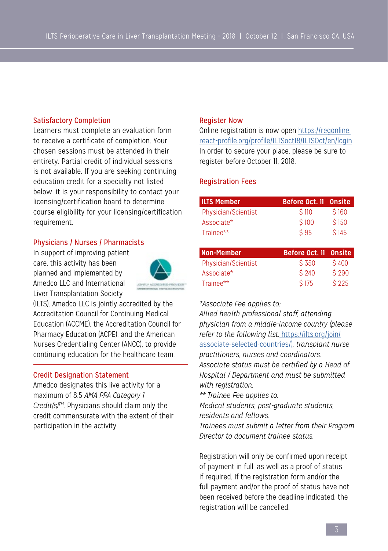## Satisfactory Completion

Learners must complete an evaluation form to receive a certificate of completion. Your chosen sessions must be attended in their entirety. Partial credit of individual sessions is not available. If you are seeking continuing education credit for a specialty not listed below, it is your responsibility to contact your licensing/certification board to determine course eligibility for your licensing/certification requirement.

## Physicians / Nurses / Pharmacists

In support of improving patient care, this activity has been planned and implemented by Amedco LLC and International Liver Transplantation Society



(ILTS). Amedco LLC is jointly accredited by the Accreditation Council for Continuing Medical Education (ACCME), the Accreditation Council for Pharmacy Education (ACPE), and the American Nurses Credentialing Center (ANCC), to provide continuing education for the healthcare team.

## Credit Designation Statement

Amedco designates this live activity for a maximum of 8.5 *AMA PRA Category 1 Credit(s)TM*. Physicians should claim only the credit commensurate with the extent of their participation in the activity.

#### Register Now

Online registration is now open [https://regonline.](https://regonline.react-profile.org/profile/ILTSoct18/ILTSOct/en/login) [react-profile.org/profile/ILTSoct18/ILTSOct/en/login](https://regonline.react-profile.org/profile/ILTSoct18/ILTSOct/en/login) In order to secure your place, please be sure to register before October 11, 2018.

## Registration Fees

| <b>ILTS Member</b>  | Before Oct. II Onsite |       |
|---------------------|-----------------------|-------|
| Physician/Scientist | \$110                 | \$160 |
| Associate*          | \$100                 | \$150 |
| Trainee**           | $\text{\$}95$         | \$145 |

| Non-Member          | Before Oct. II Onsite |       |
|---------------------|-----------------------|-------|
| Physician/Scientist | \$350                 | \$400 |
| Associate*          | \$240                 | \$290 |
| Trainee**           | \$175                 | \$225 |

#### *\*Associate Fee applies to:*

*Allied health professional staff, attending physician from a middle-income country (please refer to the following list:* [https://ilts.org/join/]( https://ilts.org/join/associate-selected-countries/)) [associate-selected-countries/\)]( https://ilts.org/join/associate-selected-countries/))*, transplant nurse practitioners, nurses and coordinators. Associate status must be certified by a Head of Hospital / Department and must be submitted with registration.* 

*\*\* Trainee Fee applies to:* 

*Medical students, post-graduate students, residents and fellows.*

*Trainees must submit a letter from their Program Director to document trainee status.*

Registration will only be confirmed upon receipt of payment in full, as well as a proof of status if required. If the registration form and/or the full payment and/or the proof of status have not been received before the deadline indicated, the registration will be cancelled.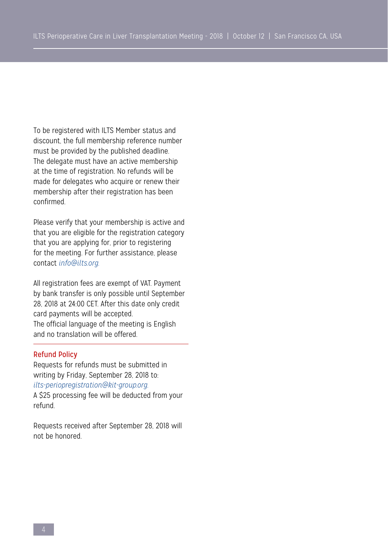To be registered with ILTS Member status and discount, the full membership reference number must be provided by the published deadline. The delegate must have an active membership at the time of registration. No refunds will be made for delegates who acquire or renew their membership after their registration has been confirmed.

Please verify that your membership is active and that you are eligible for the registration category that you are applying for, prior to registering for the meeting. For further assistance, please contact *info@ilts.org.*

All registration fees are exempt of VAT. Payment by bank transfer is only possible until September 28, 2018 at 24:00 CET. After this date only credit card payments will be accepted. The official language of the meeting is English and no translation will be offered.

## Refund Policy

Requests for refunds must be submitted in writing by Friday, September 28, 2018 to: *ilts-periopregistration@kit-group.org.* A \$25 processing fee will be deducted from your refund.

Requests received after September 28, 2018 will not be honored.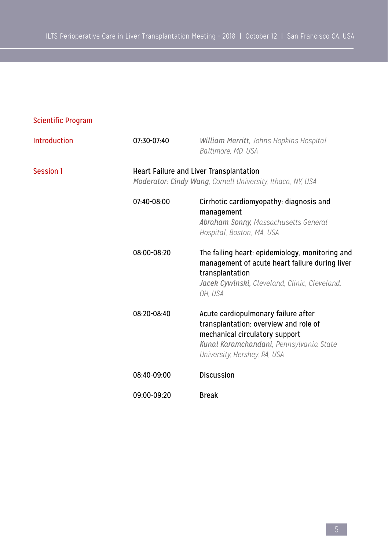| <b>Scientific Program</b> |             |                                                                                                                                                                                           |
|---------------------------|-------------|-------------------------------------------------------------------------------------------------------------------------------------------------------------------------------------------|
| Introduction              | 07:30-07:40 | William Merritt, Johns Hopkins Hospital,<br>Baltimore, MD, USA                                                                                                                            |
| Session 1                 |             | Heart Failure and Liver Transplantation<br>Moderator: Cindy Wang, Cornell University, Ithaca, NY, USA                                                                                     |
|                           | 07:40-08:00 | Cirrhotic cardiomyopathy: diagnosis and<br>management<br>Abraham Sonny, Massachusetts General<br>Hospital, Boston, MA, USA                                                                |
|                           | 08:00-08:20 | The failing heart: epidemiology, monitoring and<br>management of acute heart failure during liver<br>transplantation<br>Jacek Cywinski, Cleveland, Clinic, Cleveland,<br>OH. USA          |
|                           | 08:20-08:40 | Acute cardiopulmonary failure after<br>transplantation: overview and role of<br>mechanical circulatory support<br>Kunal Karamchandani, Pennsylvania State<br>University, Hershey, PA, USA |
|                           | 08:40-09:00 | <b>Discussion</b>                                                                                                                                                                         |
|                           | 09:00-09:20 | <b>Break</b>                                                                                                                                                                              |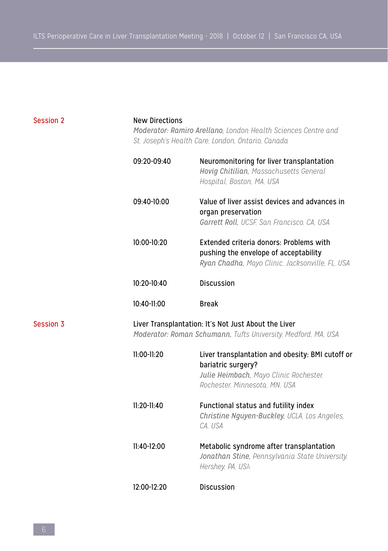| <b>Session 2</b> | <b>New Directions</b><br>Moderator: Ramiro Arellano, London Health Sciences Centre and<br>St. Joseph's Health Care, London, Ontario, Canada |                                                                                                                                                   |
|------------------|---------------------------------------------------------------------------------------------------------------------------------------------|---------------------------------------------------------------------------------------------------------------------------------------------------|
|                  | 09:20-09:40                                                                                                                                 | Neuromonitoring for liver transplantation<br>Hovig Chitilian, Massachusetts General<br>Hospital, Boston, MA, USA                                  |
|                  | 09:40-10:00                                                                                                                                 | Value of liver assist devices and advances in<br>organ preservation<br>Garrett Roll, UCSF, San Francisco, CA, USA                                 |
|                  | 10:00-10:20                                                                                                                                 | Extended criteria donors: Problems with<br>pushing the envelope of acceptability<br>Ryan Chadha, Mayo Clinic, Jacksonville, FL, USA               |
|                  | $10:20-10:40$                                                                                                                               | <b>Discussion</b>                                                                                                                                 |
|                  | 10:40-11:00                                                                                                                                 | <b>Break</b>                                                                                                                                      |
| <b>Session 3</b> | Liver Transplantation: It's Not Just About the Liver<br>Moderator: Roman Schumann, Tufts University, Medford, MA, USA                       |                                                                                                                                                   |
|                  | $11:00-11:20$                                                                                                                               | Liver transplantation and obesity: BMI cutoff or<br>bariatric surgery?<br>Julie Heimbach, Mayo Clinic Rochester,<br>Rochester, Minnesota, MN, USA |
|                  | $11:20-11:40$                                                                                                                               | Functional status and futility index<br>Christine Nguyen-Buckley, UCLA, Los Angeles,<br>CA, USA                                                   |
|                  | 11:40-12:00                                                                                                                                 | Metabolic syndrome after transplantation<br>Jonathan Stine, Pennsylvania State University,<br>Hershey, PA, USA                                    |
|                  | 12:00-12:20                                                                                                                                 | Discussion                                                                                                                                        |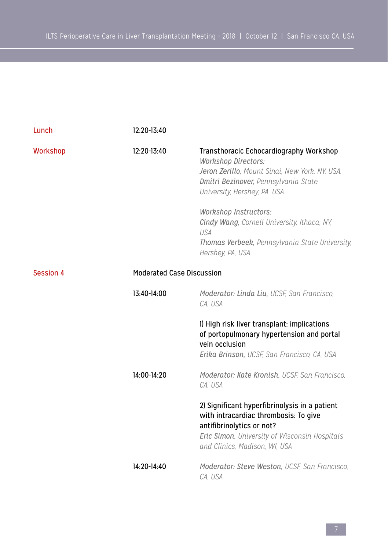| Lunch                                         | 12:20-13:40     |                                                                                                                                                                                                                                                                                                                                                       |
|-----------------------------------------------|-----------------|-------------------------------------------------------------------------------------------------------------------------------------------------------------------------------------------------------------------------------------------------------------------------------------------------------------------------------------------------------|
| Workshop                                      | 12:20-13:40     | Transthoracic Echocardiography Workshop<br><b>Workshop Directors:</b><br>Jeron Zerillo, Mount Sinai, New York, NY, USA,<br>Dmitri Bezinover, Pennsylvania State<br>University, Hershey, PA, USA<br>Workshop Instructors:<br>Cindy Wang, Cornell University, Ithaca, NY,<br>USA.<br>Thomas Verbeek, Pennsylvania State University,<br>Hershey, PA, USA |
| <b>Session 4</b><br>Moderated Case Discussion |                 |                                                                                                                                                                                                                                                                                                                                                       |
|                                               | $13:40-14:00$   | Moderator: Linda Liu, UCSF, San Francisco,<br>CA. USA                                                                                                                                                                                                                                                                                                 |
|                                               |                 | I) High risk liver transplant: implications<br>of portopulmonary hypertension and portal<br>vein occlusion<br>Erika Brinson, UCSF, San Francisco, CA, USA                                                                                                                                                                                             |
|                                               | 14:00-14:20     | Moderator: Kate Kronish, UCSF, San Francisco,<br>CA. USA                                                                                                                                                                                                                                                                                              |
|                                               |                 | 2) Significant hyperfibrinolysis in a patient<br>with intracardiac thrombosis: To give<br>antifibrinolytics or not?<br>Eric Simon, University of Wisconsin Hospitals<br>and Clinics. Madison. WI. USA                                                                                                                                                 |
|                                               | $14:20 - 14:40$ | Moderator: Steve Weston, UCSF, San Francisco,<br>CA. USA                                                                                                                                                                                                                                                                                              |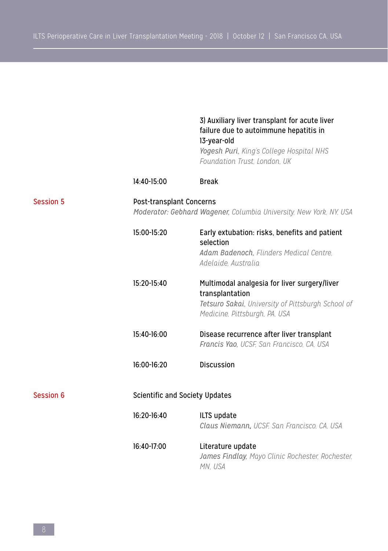|                  |             | 3) Auxiliary liver transplant for acute liver<br>failure due to autoimmune hepatitis in<br>13-year-old<br>Yogesh Puri, King's College Hospital NHS<br>Foundation Trust, London, UK |  |  |
|------------------|-------------|------------------------------------------------------------------------------------------------------------------------------------------------------------------------------------|--|--|
|                  | 14:40-15:00 | <b>Break</b>                                                                                                                                                                       |  |  |
| <b>Session 5</b> |             | Post-transplant Concerns<br>Moderator: Gebhard Wagener, Columbia University, New York, NY, USA                                                                                     |  |  |
|                  | 15:00-15:20 | Early extubation: risks, benefits and patient<br>selection<br>Adam Badenoch, Flinders Medical Centre,<br>Adelaide, Australia                                                       |  |  |
|                  | 15:20-15:40 | Multimodal analgesia for liver surgery/liver<br>transplantation<br>Tetsuro Sakai, University of Pittsburgh School of<br>Medicine, Pittsburgh, PA, USA                              |  |  |
|                  | 15:40-16:00 | Disease recurrence after liver transplant<br>Francis Yao, UCSF, San Francisco, CA, USA                                                                                             |  |  |
|                  | 16:00-16:20 | Discussion                                                                                                                                                                         |  |  |
| <b>Session 6</b> |             | Scientific and Society Updates                                                                                                                                                     |  |  |
|                  | 16:20-16:40 | ILTS update<br>Claus Niemann, UCSF, San Francisco, CA, USA                                                                                                                         |  |  |
|                  | 16:40-17:00 | Literature update<br>James Findlay, Mayo Clinic Rochester, Rochester,<br>MN. USA                                                                                                   |  |  |